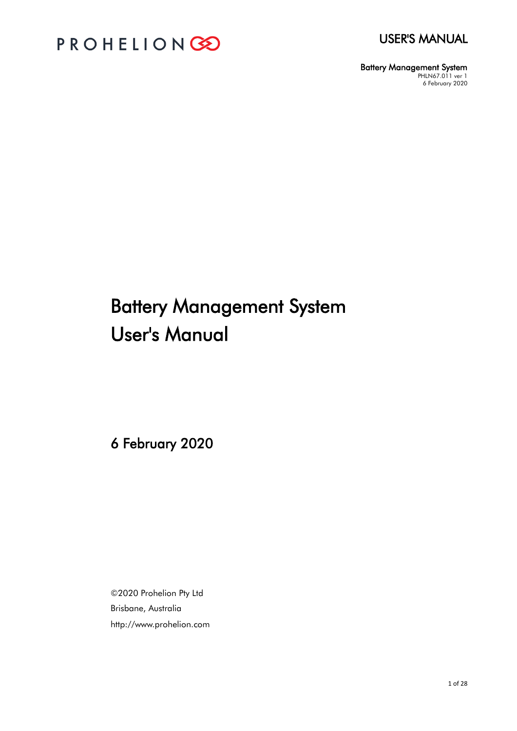



Battery Management System PHLN67.011 ver 1 6 February 2020

# Battery Management System User's Manual

6 February 2020

©2020 Prohelion Pty Ltd Brisbane, Australia http://www.prohelion.com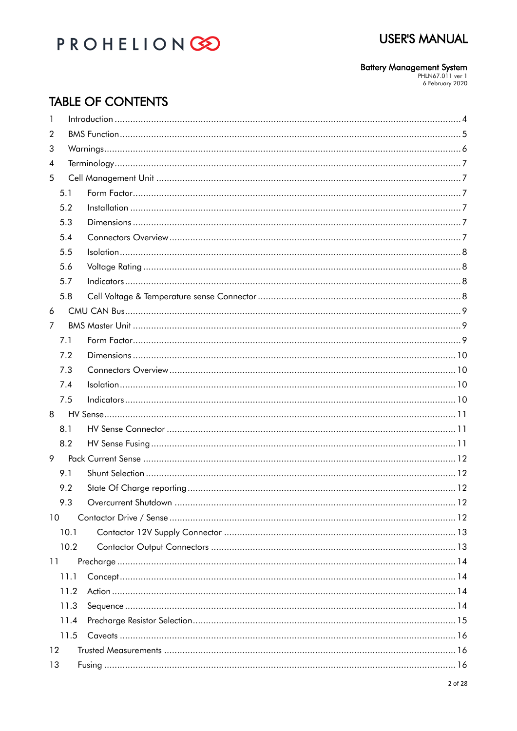## PROHELIONGO

# **Battery Management System**<br>PHLN67.011 ver 1<br>6 February 2020

## **TABLE OF CONTENTS**

| 1              |      |  |  |  |  |  |  |
|----------------|------|--|--|--|--|--|--|
| 2              |      |  |  |  |  |  |  |
| 3              |      |  |  |  |  |  |  |
| $\overline{4}$ |      |  |  |  |  |  |  |
| 5              |      |  |  |  |  |  |  |
|                | 5.1  |  |  |  |  |  |  |
|                | 5.2  |  |  |  |  |  |  |
|                | 5.3  |  |  |  |  |  |  |
|                | 5.4  |  |  |  |  |  |  |
|                | 5.5  |  |  |  |  |  |  |
|                | 5.6  |  |  |  |  |  |  |
|                | 5.7  |  |  |  |  |  |  |
|                | 5.8  |  |  |  |  |  |  |
| 6              |      |  |  |  |  |  |  |
| $\overline{7}$ |      |  |  |  |  |  |  |
|                | 7.1  |  |  |  |  |  |  |
|                | 7.2  |  |  |  |  |  |  |
|                | 7.3  |  |  |  |  |  |  |
|                | 7.4  |  |  |  |  |  |  |
|                | 7.5  |  |  |  |  |  |  |
| 8              |      |  |  |  |  |  |  |
|                | 8.1  |  |  |  |  |  |  |
|                | 8.2  |  |  |  |  |  |  |
| 9              |      |  |  |  |  |  |  |
|                | 9.1  |  |  |  |  |  |  |
|                | 9.2  |  |  |  |  |  |  |
|                | 9.3  |  |  |  |  |  |  |
| 10             |      |  |  |  |  |  |  |
|                | 10.1 |  |  |  |  |  |  |
|                | 10.2 |  |  |  |  |  |  |
| 11             |      |  |  |  |  |  |  |
|                | 11.1 |  |  |  |  |  |  |
|                | 11.2 |  |  |  |  |  |  |
|                | 11.3 |  |  |  |  |  |  |
|                | 11.4 |  |  |  |  |  |  |
|                | 11.5 |  |  |  |  |  |  |
| 12             |      |  |  |  |  |  |  |
| 13             |      |  |  |  |  |  |  |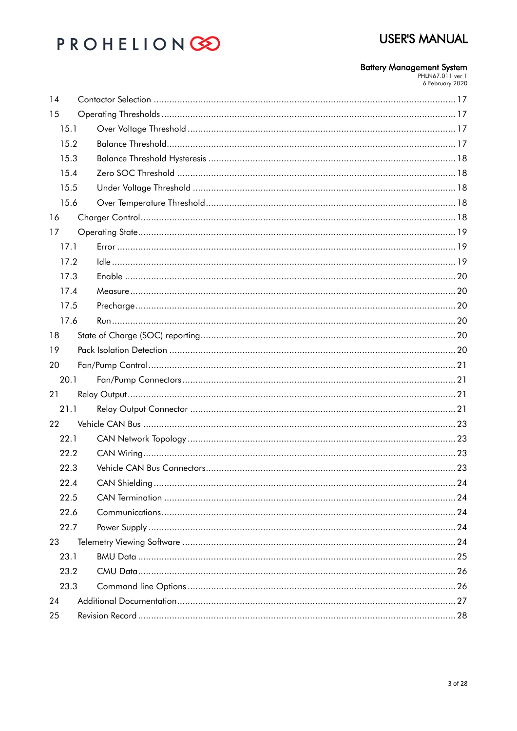## **USER'S MANUAL**

# **Battery Management System**<br>PHLN67.011 ver 1<br>6 February 2020

| 14   |  |  |  |  |  |  |  |  |
|------|--|--|--|--|--|--|--|--|
| 15   |  |  |  |  |  |  |  |  |
| 15.1 |  |  |  |  |  |  |  |  |
| 15.2 |  |  |  |  |  |  |  |  |
|      |  |  |  |  |  |  |  |  |
| 15.3 |  |  |  |  |  |  |  |  |
| 15.4 |  |  |  |  |  |  |  |  |
| 15.5 |  |  |  |  |  |  |  |  |
| 15.6 |  |  |  |  |  |  |  |  |
| 16   |  |  |  |  |  |  |  |  |
| 17   |  |  |  |  |  |  |  |  |
| 17.1 |  |  |  |  |  |  |  |  |
| 17.2 |  |  |  |  |  |  |  |  |
| 17.3 |  |  |  |  |  |  |  |  |
| 17.4 |  |  |  |  |  |  |  |  |
| 17.5 |  |  |  |  |  |  |  |  |
| 17.6 |  |  |  |  |  |  |  |  |
| 18   |  |  |  |  |  |  |  |  |
| 19   |  |  |  |  |  |  |  |  |
| 20   |  |  |  |  |  |  |  |  |
| 20.1 |  |  |  |  |  |  |  |  |
| 21   |  |  |  |  |  |  |  |  |
| 21.1 |  |  |  |  |  |  |  |  |
| 22   |  |  |  |  |  |  |  |  |
| 22.1 |  |  |  |  |  |  |  |  |
| 22.2 |  |  |  |  |  |  |  |  |
| 22.3 |  |  |  |  |  |  |  |  |
| 22.4 |  |  |  |  |  |  |  |  |
| 22.5 |  |  |  |  |  |  |  |  |
| 22.6 |  |  |  |  |  |  |  |  |
| 22.7 |  |  |  |  |  |  |  |  |
| 23   |  |  |  |  |  |  |  |  |
| 23.1 |  |  |  |  |  |  |  |  |
| 23.2 |  |  |  |  |  |  |  |  |
| 23.3 |  |  |  |  |  |  |  |  |
| 24   |  |  |  |  |  |  |  |  |
| 25   |  |  |  |  |  |  |  |  |
|      |  |  |  |  |  |  |  |  |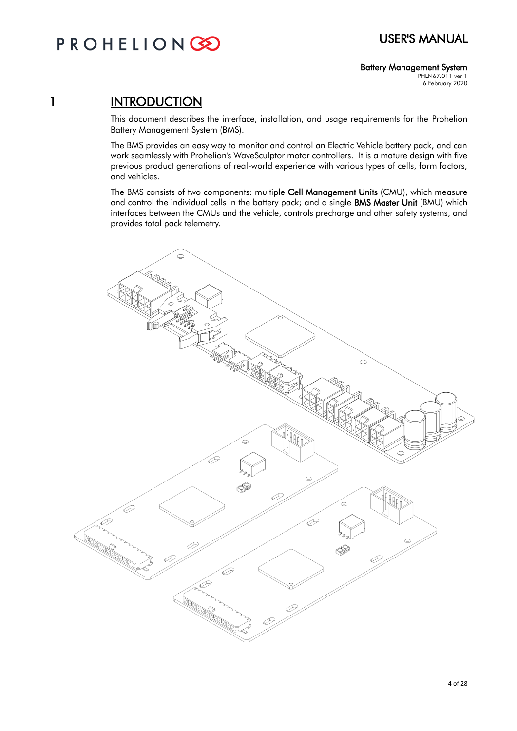## PROHELIONGE

### Battery Management System

PHLN67.011 ver 1 6 February 2020

## 1 **INTRODUCTION**

This document describes the interface, installation, and usage requirements for the Prohelion Battery Management System (BMS).

The BMS provides an easy way to monitor and control an Electric Vehicle battery pack, and can work seamlessly with Prohelion's WaveSculptor motor controllers. It is a mature design with five previous product generations of real-world experience with various types of cells, form factors, and vehicles.

The BMS consists of two components: multiple Cell Management Units (CMU), which measure and control the individual cells in the battery pack; and a single BMS Master Unit (BMU) which interfaces between the CMUs and the vehicle, controls precharge and other safety systems, and provides total pack telemetry.

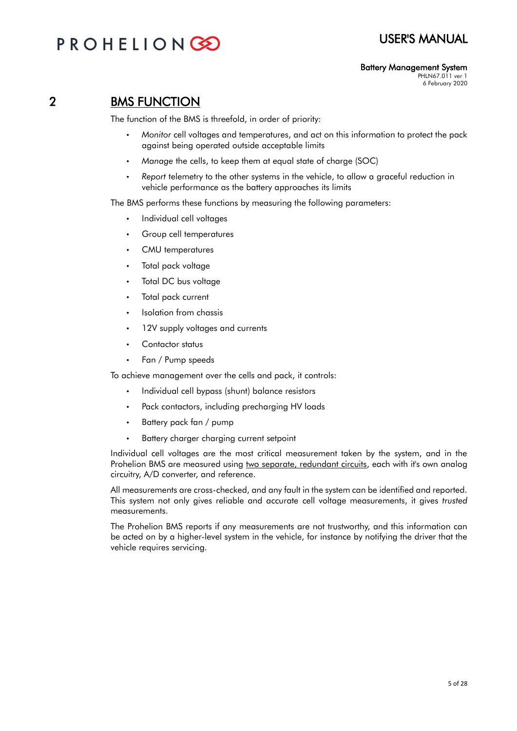## PROHELIONG

## 2 BMS FUNCTION

The function of the BMS is threefold, in order of priority:

- *Monitor* cell voltages and temperatures, and act on this information to protect the pack against being operated outside acceptable limits
- *Manage* the cells, to keep them at equal state of charge (SOC)
- *Report* telemetry to the other systems in the vehicle, to allow a graceful reduction in vehicle performance as the battery approaches its limits

The BMS performs these functions by measuring the following parameters:

- Individual cell voltages
- Group cell temperatures
- CMU temperatures
- Total pack voltage
- Total DC bus voltage
- Total pack current
- Isolation from chassis
- 12V supply voltages and currents
- Contactor status
- Fan / Pump speeds

To achieve management over the cells and pack, it controls:

- Individual cell bypass (shunt) balance resistors
- Pack contactors, including precharging HV loads
- Battery pack fan / pump
- Battery charger charging current setpoint

Individual cell voltages are the most critical measurement taken by the system, and in the Prohelion BMS are measured using two separate, redundant circuits, each with it's own analog circuitry, A/D converter, and reference.

All measurements are cross-checked, and any fault in the system can be identified and reported. This system not only gives reliable and accurate cell voltage measurements, it gives *trusted* measurements.

The Prohelion BMS reports if any measurements are not trustworthy, and this information can be acted on by a higher-level system in the vehicle, for instance by notifying the driver that the vehicle requires servicing.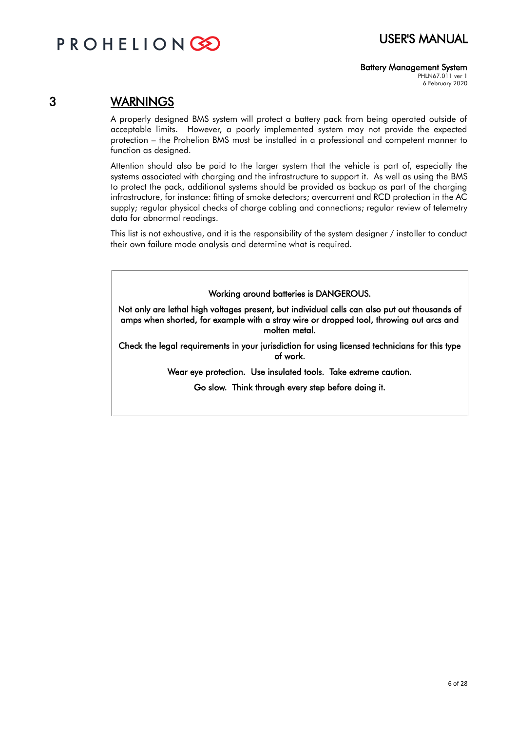#### Battery Management System

PHLN67.011 ver 1 6 February 2020

### 3 WARNINGS

A properly designed BMS system will protect a battery pack from being operated outside of acceptable limits. However, a poorly implemented system may not provide the expected protection – the Prohelion BMS must be installed in a professional and competent manner to function as designed.

Attention should also be paid to the larger system that the vehicle is part of, especially the systems associated with charging and the infrastructure to support it. As well as using the BMS to protect the pack, additional systems should be provided as backup as part of the charging infrastructure, for instance: fitting of smoke detectors; overcurrent and RCD protection in the AC supply; regular physical checks of charge cabling and connections; regular review of telemetry data for abnormal readings.

This list is not exhaustive, and it is the responsibility of the system designer / installer to conduct their own failure mode analysis and determine what is required.

Working around batteries is DANGEROUS.

Not only are lethal high voltages present, but individual cells can also put out thousands of amps when shorted, for example with a stray wire or dropped tool, throwing out arcs and molten metal.

Check the legal requirements in your jurisdiction for using licensed technicians for this type of work.

Wear eye protection. Use insulated tools. Take extreme caution.

Go slow. Think through every step before doing it.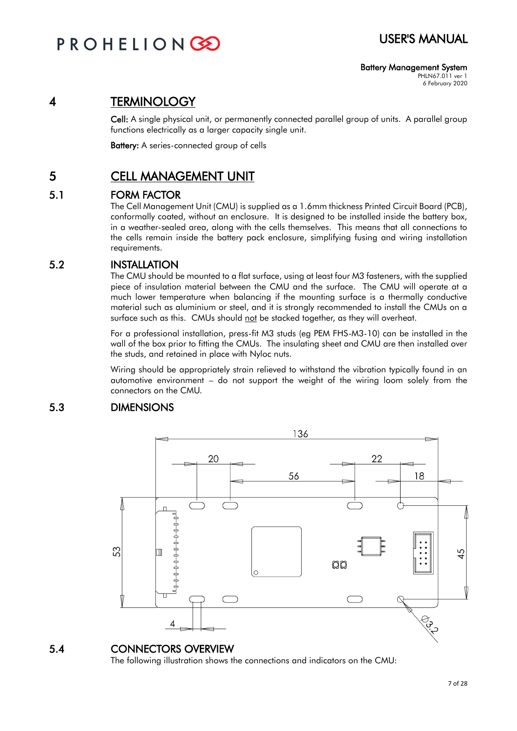### Battery Management System

PHLN67.011 ver 1 6 February 2020

## 4 TERMINOLOGY

Cell: A single physical unit, or permanently connected parallel group of units. A parallel group functions electrically as a larger capacity single unit.

Battery: A series-connected group of cells

## 5 CELL MANAGEMENT UNIT

### 5.1 FORM FACTOR

The Cell Management Unit (CMU) is supplied as a 1.6mm thickness Printed Circuit Board (PCB), conformally coated, without an enclosure. It is designed to be installed inside the battery box, in a weather-sealed area, along with the cells themselves. This means that all connections to the cells remain inside the battery pack enclosure, simplifying fusing and wiring installation requirements.

### 5.2 INSTALLATION

The CMU should be mounted to a flat surface, using at least four M3 fasteners, with the supplied piece of insulation material between the CMU and the surface. The CMU will operate at a much lower temperature when balancing if the mounting surface is a thermally conductive material such as aluminium or steel, and it is strongly recommended to install the CMUs on a surface such as this. CMUs should not be stacked together, as they will overheat.

For a professional installation, press-fit M3 studs (eg PEM FHS-M3-10) can be installed in the wall of the box prior to fitting the CMUs. The insulating sheet and CMU are then installed over the studs, and retained in place with Nyloc nuts.

Wiring should be appropriately strain relieved to withstand the vibration typically found in an automotive environment – do not support the weight of the wiring loom solely from the connectors on the CMU.

### 5.3 DIMENSIONS



### 5.4 CONNECTORS OVERVIEW

The following illustration shows the connections and indicators on the CMU: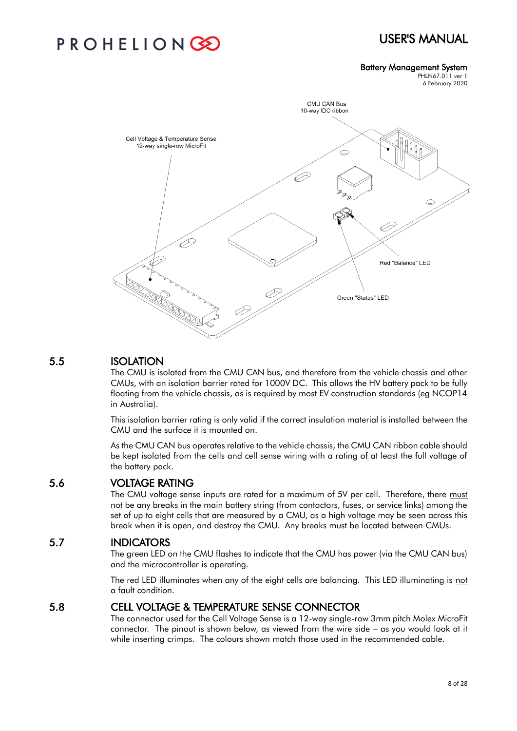## PROHELIONC

#### Battery Management System

PHLN67.011 ver 1 6 February 2020



### 5.5 ISOLATION

The CMU is isolated from the CMU CAN bus, and therefore from the vehicle chassis and other CMUs, with an isolation barrier rated for 1000V DC. This allows the HV battery pack to be fully floating from the vehicle chassis, as is required by most EV construction standards (eg NCOP14 in Australia).

This isolation barrier rating is only valid if the correct insulation material is installed between the CMU and the surface it is mounted on.

As the CMU CAN bus operates relative to the vehicle chassis, the CMU CAN ribbon cable should be kept isolated from the cells and cell sense wiring with a rating of at least the full voltage of the battery pack.

### 5.6 VOLTAGE RATING

The CMU voltage sense inputs are rated for a maximum of 5V per cell. Therefore, there must not be any breaks in the main battery string (from contactors, fuses, or service links) among the set of up to eight cells that are measured by a CMU, as a high voltage may be seen across this break when it is open, and destroy the CMU. Any breaks must be located between CMUs.

### 5.7 INDICATORS

The green LED on the CMU flashes to indicate that the CMU has power (via the CMU CAN bus) and the microcontroller is operating.

The red LED illuminates when any of the eight cells are balancing. This LED illuminating is not a fault condition.

### 5.8 CELL VOLTAGE & TEMPERATURE SENSE CONNECTOR

The connector used for the Cell Voltage Sense is a 12-way single-row 3mm pitch Molex MicroFit connector. The pinout is shown below, as viewed from the wire side – as you would look at it while inserting crimps. The colours shown match those used in the recommended cable.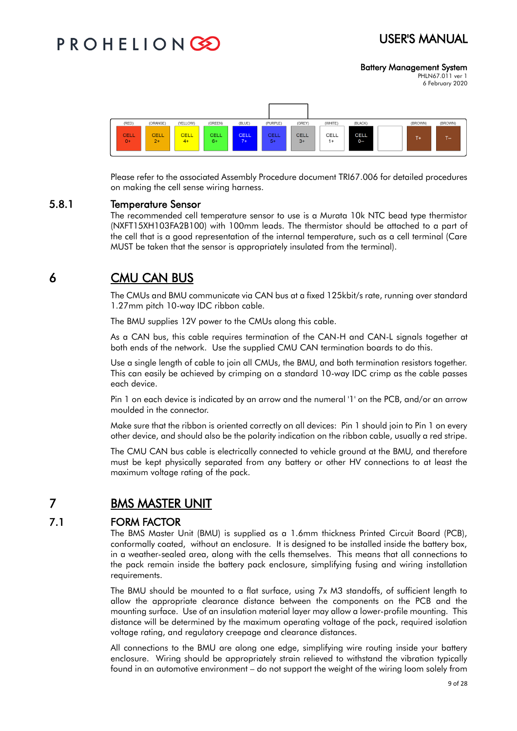## USER'S MANUAL

Battery Management System

PHLN67.011 ver 1 6 February 2020



Please refer to the associated Assembly Procedure document TRI67.006 for detailed procedures on making the cell sense wiring harness.

### 5.8.1 Temperature Sensor

The recommended cell temperature sensor to use is a Murata 10k NTC bead type thermistor (NXFT15XH103FA2B100) with 100mm leads. The thermistor should be attached to a part of the cell that is a good representation of the internal temperature, such as a cell terminal (Care MUST be taken that the sensor is appropriately insulated from the terminal).

## 6 CMU CAN BUS

The CMUs and BMU communicate via CAN bus at a fixed 125kbit/s rate, running over standard 1.27mm pitch 10-way IDC ribbon cable.

The BMU supplies 12V power to the CMUs along this cable.

As a CAN bus, this cable requires termination of the CAN-H and CAN-L signals together at both ends of the network. Use the supplied CMU CAN termination boards to do this.

Use a single length of cable to join all CMUs, the BMU, and both termination resistors together. This can easily be achieved by crimping on a standard 10-way IDC crimp as the cable passes each device.

Pin 1 on each device is indicated by an arrow and the numeral '1' on the PCB, and/or an arrow moulded in the connector.

Make sure that the ribbon is oriented correctly on all devices: Pin 1 should join to Pin 1 on every other device, and should also be the polarity indication on the ribbon cable, usually a red stripe.

The CMU CAN bus cable is electrically connected to vehicle ground at the BMU, and therefore must be kept physically separated from any battery or other HV connections to at least the maximum voltage rating of the pack.

### 7 BMS MASTER UNIT

### 7.1 FORM FACTOR

The BMS Master Unit (BMU) is supplied as a 1.6mm thickness Printed Circuit Board (PCB), conformally coated, without an enclosure. It is designed to be installed inside the battery box, in a weather-sealed area, along with the cells themselves. This means that all connections to the pack remain inside the battery pack enclosure, simplifying fusing and wiring installation requirements.

The BMU should be mounted to a flat surface, using 7x M3 standoffs, of sufficient length to allow the appropriate clearance distance between the components on the PCB and the mounting surface. Use of an insulation material layer may allow a lower-profile mounting. This distance will be determined by the maximum operating voltage of the pack, required isolation voltage rating, and regulatory creepage and clearance distances.

All connections to the BMU are along one edge, simplifying wire routing inside your battery enclosure. Wiring should be appropriately strain relieved to withstand the vibration typically found in an automotive environment – do not support the weight of the wiring loom solely from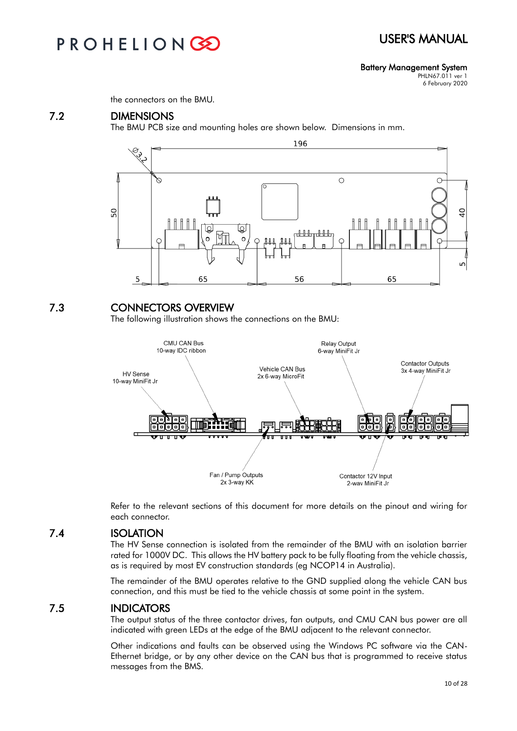## PROHELIONC

Battery Management System

PHLN67.011 ver 1 6 February 2020

the connectors on the BMU.

### 7.2 DIMENSIONS

The BMU PCB size and mounting holes are shown below. Dimensions in mm.



### 7.3 CONNECTORS OVERVIEW

The following illustration shows the connections on the BMU:



Refer to the relevant sections of this document for more details on the pinout and wiring for each connector.

### 7.4 ISOLATION

The HV Sense connection is isolated from the remainder of the BMU with an isolation barrier rated for 1000V DC. This allows the HV battery pack to be fully floating from the vehicle chassis, as is required by most EV construction standards (eg NCOP14 in Australia).

The remainder of the BMU operates relative to the GND supplied along the vehicle CAN bus connection, and this must be tied to the vehicle chassis at some point in the system.

### 7.5 INDICATORS

The output status of the three contactor drives, fan outputs, and CMU CAN bus power are all indicated with green LEDs at the edge of the BMU adjacent to the relevant connector.

Other indications and faults can be observed using the Windows PC software via the CAN-Ethernet bridge, or by any other device on the CAN bus that is programmed to receive status messages from the BMS.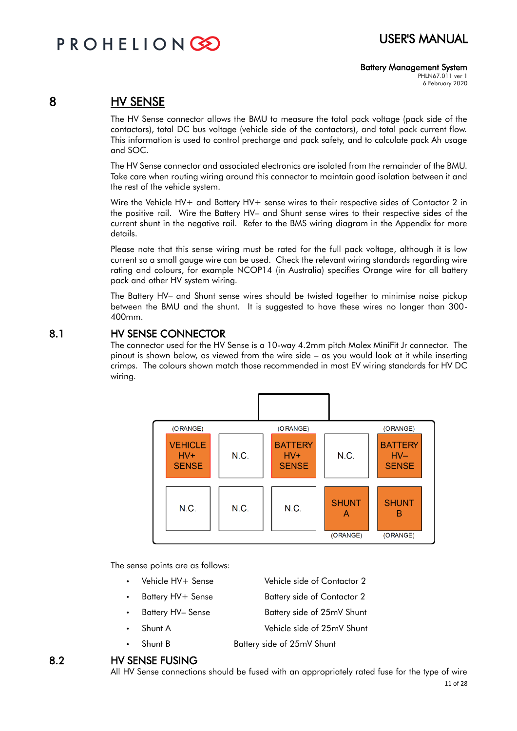### Battery Management System

PHLN67.011 ver 1 6 February 2020

### 8 HV SENSE

The HV Sense connector allows the BMU to measure the total pack voltage (pack side of the contactors), total DC bus voltage (vehicle side of the contactors), and total pack current flow. This information is used to control precharge and pack safety, and to calculate pack Ah usage and SOC.

The HV Sense connector and associated electronics are isolated from the remainder of the BMU. Take care when routing wiring around this connector to maintain good isolation between it and the rest of the vehicle system.

Wire the Vehicle HV+ and Battery HV+ sense wires to their respective sides of Contactor 2 in the positive rail. Wire the Battery HV– and Shunt sense wires to their respective sides of the current shunt in the negative rail. Refer to the BMS wiring diagram in the Appendix for more details.

Please note that this sense wiring must be rated for the full pack voltage, although it is low current so a small gauge wire can be used. Check the relevant wiring standards regarding wire rating and colours, for example NCOP14 (in Australia) specifies Orange wire for all battery pack and other HV system wiring.

The Battery HV– and Shunt sense wires should be twisted together to minimise noise pickup between the BMU and the shunt. It is suggested to have these wires no longer than 300- 400mm.

### 8.1 HV SENSE CONNECTOR

The connector used for the HV Sense is a 10-way 4.2mm pitch Molex MiniFit Jr connector. The pinout is shown below, as viewed from the wire side – as you would look at it while inserting crimps. The colours shown match those recommended in most EV wiring standards for HV DC wiring.



The sense points are as follows:

- Vehicle HV+ Sense Vehicle side of Contactor 2
- Battery HV+ Sense Battery side of Contactor 2
- Battery HV– Sense Battery side of 25mV Shunt
- Shunt A Vehicle side of 25mV Shunt
- Shunt B Battery side of 25mV Shunt

### 8.2 HV SENSE FUSING

All HV Sense connections should be fused with an appropriately rated fuse for the type of wire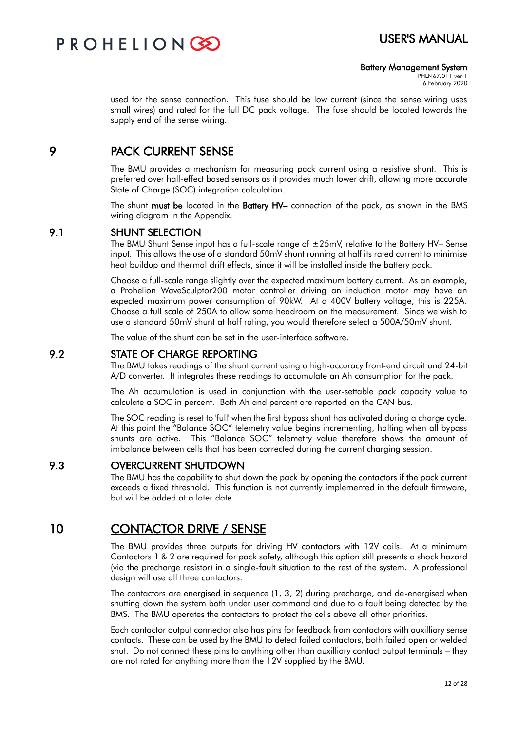PROHELIONCE

## USER'S MANUAL

#### Battery Management System

PHLN67.011 ver 1 6 February 2020

used for the sense connection. This fuse should be low current (since the sense wiring uses small wires) and rated for the full DC pack voltage. The fuse should be located towards the supply end of the sense wiring.

### 9 PACK CURRENT SENSE

The BMU provides a mechanism for measuring pack current using a resistive shunt. This is preferred over hall-effect based sensors as it provides much lower drift, allowing more accurate State of Charge (SOC) integration calculation.

The shunt must be located in the Battery HV– connection of the pack, as shown in the BMS wiring diagram in the Appendix.

### 9.1 SHUNT SELECTION

The BMU Shunt Sense input has a full-scale range of  $\pm 25$ mV, relative to the Battery HV– Sense input. This allows the use of a standard 50mV shunt running at half its rated current to minimise heat buildup and thermal drift effects, since it will be installed inside the battery pack.

Choose a full-scale range slightly over the expected maximum battery current. As an example, a Prohelion WaveSculptor200 motor controller driving an induction motor may have an expected maximum power consumption of 90kW. At a 400V battery voltage, this is 225A. Choose a full scale of 250A to allow some headroom on the measurement. Since we wish to use a standard 50mV shunt at half rating, you would therefore select a 500A/50mV shunt.

The value of the shunt can be set in the user-interface software.

### 9.2 STATE OF CHARGE REPORTING

The BMU takes readings of the shunt current using a high-accuracy front-end circuit and 24-bit A/D converter. It integrates these readings to accumulate an Ah consumption for the pack.

The Ah accumulation is used in conjunction with the user-settable pack capacity value to calculate a SOC in percent. Both Ah and percent are reported on the CAN bus.

The SOC reading is reset to 'full' when the first bypass shunt has activated during a charge cycle. At this point the "Balance SOC" telemetry value begins incrementing, halting when all bypass shunts are active. This "Balance SOC" telemetry value therefore shows the amount of imbalance between cells that has been corrected during the current charging session.

### 9.3 OVERCURRENT SHUTDOWN

The BMU has the capability to shut down the pack by opening the contactors if the pack current exceeds a fixed threshold. This function is not currently implemented in the default firmware, but will be added at a later date.

### 10 CONTACTOR DRIVE / SENSE

The BMU provides three outputs for driving HV contactors with 12V coils. At a minimum Contactors 1 & 2 are required for pack safety, although this option still presents a shock hazard (via the precharge resistor) in a single-fault situation to the rest of the system. A professional design will use all three contactors.

The contactors are energised in sequence (1, 3, 2) during precharge, and de-energised when shutting down the system both under user command and due to a fault being detected by the BMS. The BMU operates the contactors to protect the cells above all other priorities.

Each contactor output connector also has pins for feedback from contactors with auxilliary sense contacts. These can be used by the BMU to detect failed contactors, both failed open or welded shut. Do not connect these pins to anything other than auxilliary contact output terminals – they are not rated for anything more than the 12V supplied by the BMU.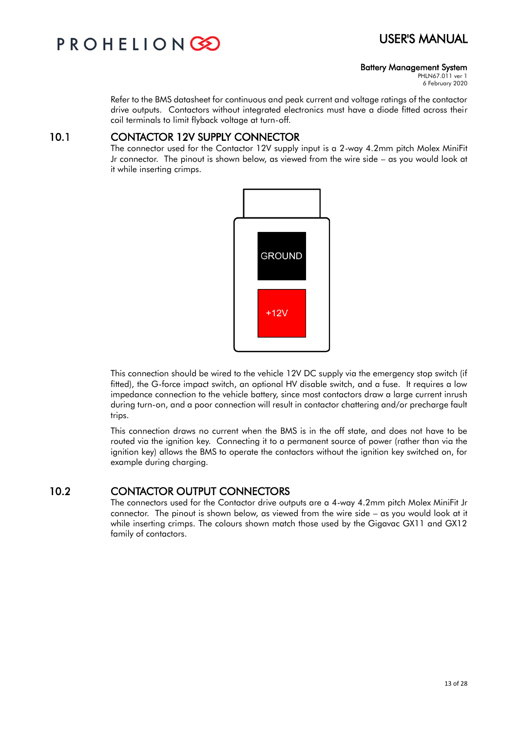

#### Battery Management System

PHLN67.011 ver 1 6 February 2020

Refer to the BMS datasheet for continuous and peak current and voltage ratings of the contactor drive outputs. Contactors without integrated electronics must have a diode fitted across their coil terminals to limit flyback voltage at turn-off.

### 10.1 CONTACTOR 12V SUPPLY CONNECTOR

The connector used for the Contactor 12V supply input is a 2-way 4.2mm pitch Molex MiniFit Jr connector. The pinout is shown below, as viewed from the wire side – as you would look at it while inserting crimps.



This connection should be wired to the vehicle 12V DC supply via the emergency stop switch (if fitted), the G-force impact switch, an optional HV disable switch, and a fuse. It requires a low impedance connection to the vehicle battery, since most contactors draw a large current inrush during turn-on, and a poor connection will result in contactor chattering and/or precharge fault trips.

This connection draws no current when the BMS is in the off state, and does not have to be routed via the ignition key. Connecting it to a permanent source of power (rather than via the ignition key) allows the BMS to operate the contactors without the ignition key switched on, for example during charging.

### 10.2 CONTACTOR OUTPUT CONNECTORS

The connectors used for the Contactor drive outputs are a 4-way 4.2mm pitch Molex MiniFit Jr connector. The pinout is shown below, as viewed from the wire side – as you would look at it while inserting crimps. The colours shown match those used by the Gigavac GX11 and GX12 family of contactors.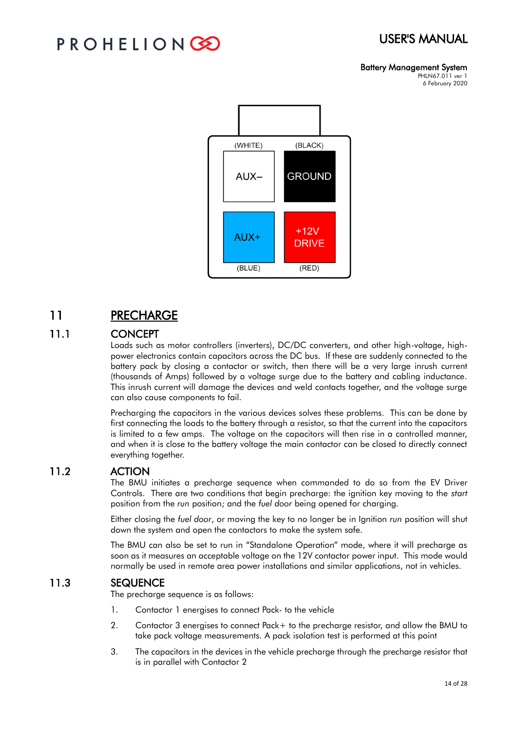## PROHELIONG

#### Battery Management System PHLN67.011 ver 1

6 February 2020



## 11 PRECHARGE

### 11.1 CONCEPT

Loads such as motor controllers (inverters), DC/DC converters, and other high-voltage, highpower electronics contain capacitors across the DC bus. If these are suddenly connected to the battery pack by closing a contactor or switch, then there will be a very large inrush current (thousands of Amps) followed by a voltage surge due to the battery and cabling inductance. This inrush current will damage the devices and weld contacts together, and the voltage surge can also cause components to fail.

Precharging the capacitors in the various devices solves these problems. This can be done by first connecting the loads to the battery through a resistor, so that the current into the capacitors is limited to a few amps. The voltage on the capacitors will then rise in a controlled manner, and when it is close to the battery voltage the main contactor can be closed to directly connect everything together.

### 11.2 ACTION

The BMU initiates a precharge sequence when commanded to do so from the EV Driver Controls. There are two conditions that begin precharge: the ignition key moving to the *start* position from the *run* position; and the *fuel door* being opened for charging.

Either closing the *fuel door*, or moving the key to no longer be in Ignition *run* position will shut down the system and open the contactors to make the system safe.

The BMU can also be set to run in "Standalone Operation" mode, where it will precharge as soon as it measures an acceptable voltage on the 12V contactor power input. This mode would normally be used in remote area power installations and similar applications, not in vehicles.

### 11.3 SEQUENCE

The precharge sequence is as follows:

- 1. Contactor 1 energises to connect Pack- to the vehicle
- 2. Contactor 3 energises to connect Pack+ to the precharge resistor, and allow the BMU to take pack voltage measurements. A pack isolation test is performed at this point
- 3. The capacitors in the devices in the vehicle precharge through the precharge resistor that is in parallel with Contactor 2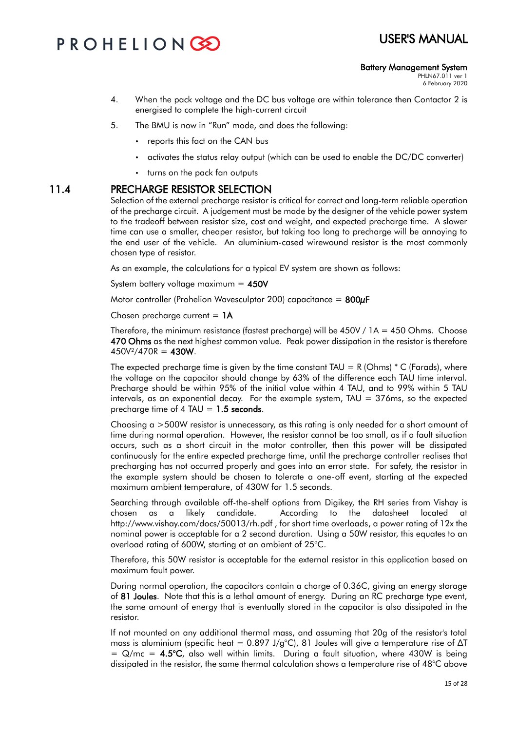#### Battery Management System

PHLN67.011 ver 1 6 February 2020

- 4. When the pack voltage and the DC bus voltage are within tolerance then Contactor 2 is energised to complete the high-current circuit
- 5. The BMU is now in "Run" mode, and does the following:
	- reports this fact on the CAN bus
	- activates the status relay output (which can be used to enable the DC/DC converter)
	- turns on the pack fan outputs

### 11.4 PRECHARGE RESISTOR SELECTION

Selection of the external precharge resistor is critical for correct and long-term reliable operation of the precharge circuit. A judgement must be made by the designer of the vehicle power system to the tradeoff between resistor size, cost and weight, and expected precharge time. A slower time can use a smaller, cheaper resistor, but taking too long to precharge will be annoying to the end user of the vehicle. An aluminium-cased wirewound resistor is the most commonly chosen type of resistor.

As an example, the calculations for a typical EV system are shown as follows:

System battery voltage maximum  $= 450V$ 

Motor controller (Prohelion Wavesculptor 200) capacitance =  $800\mu$ F

Chosen precharge current  $= 1A$ 

Therefore, the minimum resistance (fastest precharge) will be  $450V / 1A = 450$  Ohms. Choose 470 Ohms as the next highest common value. Peak power dissipation in the resistor is therefore  $450V^2/470R = 430W$ .

The expected precharge time is given by the time constant TAU = R (Ohms)  $*$  C (Farads), where the voltage on the capacitor should change by 63% of the difference each TAU time interval. Precharge should be within 95% of the initial value within 4 TAU, and to 99% within 5 TAU intervals, as an exponential decay. For the example system,  $TAU = 376$ ms, so the expected precharge time of 4 TAU =  $1.5$  seconds.

Choosing a >500W resistor is unnecessary, as this rating is only needed for a short amount of time during normal operation. However, the resistor cannot be too small, as if a fault situation occurs, such as a short circuit in the motor controller, then this power will be dissipated continuously for the entire expected precharge time, until the precharge controller realises that precharging has not occurred properly and goes into an error state. For safety, the resistor in the example system should be chosen to tolerate a one-off event, starting at the expected maximum ambient temperature, of 430W for 1.5 seconds.

Searching through available off-the-shelf options from Digikey, the RH series from Vishay is chosen as a likely candidate. According to the datasheet located at http://www.vishay.com/docs/50013/rh.pdf , for short time overloads, a power rating of 12x the nominal power is acceptable for a 2 second duration. Using a 50W resistor, this equates to an overload rating of 600W, starting at an ambient of 25°C.

Therefore, this 50W resistor is acceptable for the external resistor in this application based on maximum fault power.

During normal operation, the capacitors contain a charge of 0.36C, giving an energy storage of 81 Joules. Note that this is a lethal amount of energy. During an RC precharge type event, the same amount of energy that is eventually stored in the capacitor is also dissipated in the resistor.

If not mounted on any additional thermal mass, and assuming that 20g of the resistor's total mass is aluminium (specific heat = 0.897 J/g°C), 81 Joules will give a temperature rise of  $\Delta T$  $= Q/mc = 4.5$ °C, also well within limits. During a fault situation, where 430W is being dissipated in the resistor, the same thermal calculation shows a temperature rise of 48°C above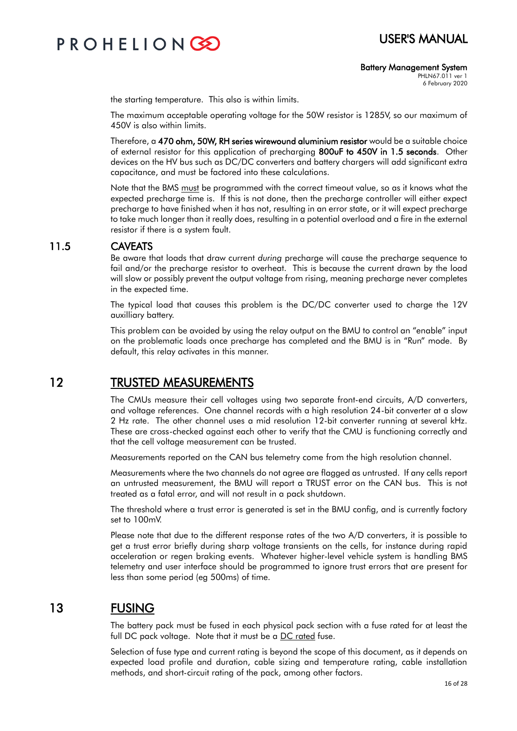Battery Management System

PHLN67.011 ver 1 6 February 2020

the starting temperature. This also is within limits.

The maximum acceptable operating voltage for the 50W resistor is 1285V, so our maximum of 450V is also within limits.

Therefore, a 470 ohm, 50W, RH series wirewound aluminium resistor would be a suitable choice of external resistor for this application of precharging 800uF to 450V in 1.5 seconds. Other devices on the HV bus such as DC/DC converters and battery chargers will add significant extra capacitance, and must be factored into these calculations.

Note that the BMS must be programmed with the correct timeout value, so as it knows what the expected precharge time is. If this is not done, then the precharge controller will either expect precharge to have finished when it has not, resulting in an error state, or it will expect precharge to take much longer than it really does, resulting in a potential overload and a fire in the external resistor if there is a system fault.

### 11.5 CAVEATS

Be aware that loads that draw current *during* precharge will cause the precharge sequence to fail and/or the precharge resistor to overheat. This is because the current drawn by the load will slow or possibly prevent the output voltage from rising, meaning precharge never completes in the expected time.

The typical load that causes this problem is the DC/DC converter used to charge the 12V auxilliary battery.

This problem can be avoided by using the relay output on the BMU to control an "enable" input on the problematic loads once precharge has completed and the BMU is in "Run" mode. By default, this relay activates in this manner.

## 12 TRUSTED MEASUREMENTS

The CMUs measure their cell voltages using two separate front-end circuits, A/D converters, and voltage references. One channel records with a high resolution 24-bit converter at a slow 2 Hz rate. The other channel uses a mid resolution 12-bit converter running at several kHz. These are cross-checked against each other to verify that the CMU is functioning correctly and that the cell voltage measurement can be trusted.

Measurements reported on the CAN bus telemetry come from the high resolution channel.

Measurements where the two channels do not agree are flagged as untrusted. If any cells report an untrusted measurement, the BMU will report a TRUST error on the CAN bus. This is not treated as a fatal error, and will not result in a pack shutdown.

The threshold where a trust error is generated is set in the BMU config, and is currently factory set to 100mV.

Please note that due to the different response rates of the two A/D converters, it is possible to get a trust error briefly during sharp voltage transients on the cells, for instance during rapid acceleration or regen braking events. Whatever higher-level vehicle system is handling BMS telemetry and user interface should be programmed to ignore trust errors that are present for less than some period (eg 500ms) of time.

## 13 FUSING

The battery pack must be fused in each physical pack section with a fuse rated for at least the full DC pack voltage. Note that it must be a DC rated fuse.

Selection of fuse type and current rating is beyond the scope of this document, as it depends on expected load profile and duration, cable sizing and temperature rating, cable installation methods, and short-circuit rating of the pack, among other factors.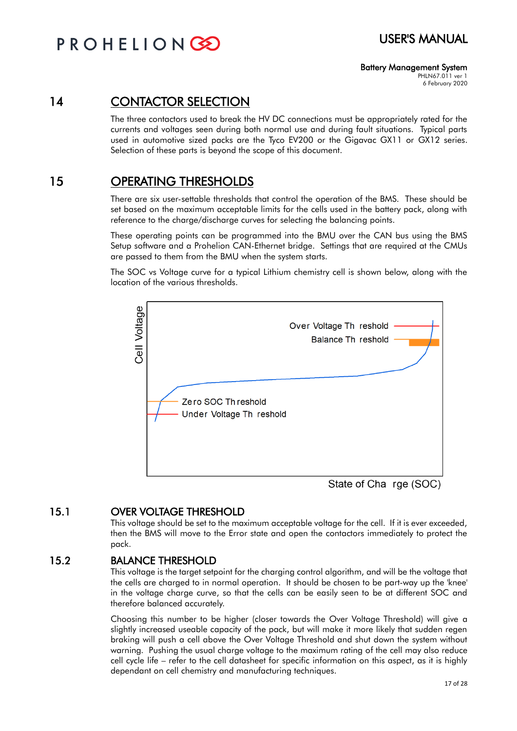### Battery Management System

PHLN67.011 ver 1 6 February 2020

## 14 CONTACTOR SELECTION

The three contactors used to break the HV DC connections must be appropriately rated for the currents and voltages seen during both normal use and during fault situations. Typical parts used in automotive sized packs are the Tyco EV200 or the Gigavac GX11 or GX12 series. Selection of these parts is beyond the scope of this document.

## 15 OPERATING THRESHOLDS

There are six user-settable thresholds that control the operation of the BMS. These should be set based on the maximum acceptable limits for the cells used in the battery pack, along with reference to the charge/discharge curves for selecting the balancing points.

These operating points can be programmed into the BMU over the CAN bus using the BMS Setup software and a Prohelion CAN-Ethernet bridge. Settings that are required at the CMUs are passed to them from the BMU when the system starts.

The SOC vs Voltage curve for a typical Lithium chemistry cell is shown below, along with the location of the various thresholds.



State of Cha rge (SOC)

### 15.1 OVER VOLTAGE THRESHOLD

This voltage should be set to the maximum acceptable voltage for the cell. If it is ever exceeded, then the BMS will move to the Error state and open the contactors immediately to protect the pack.

### 15.2 BALANCE THRESHOLD

This voltage is the target setpoint for the charging control algorithm, and will be the voltage that the cells are charged to in normal operation. It should be chosen to be part-way up the 'knee' in the voltage charge curve, so that the cells can be easily seen to be at different SOC and therefore balanced accurately.

Choosing this number to be higher (closer towards the Over Voltage Threshold) will give a slightly increased useable capacity of the pack, but will make it more likely that sudden regen braking will push a cell above the Over Voltage Threshold and shut down the system without warning. Pushing the usual charge voltage to the maximum rating of the cell may also reduce cell cycle life – refer to the cell datasheet for specific information on this aspect, as it is highly dependant on cell chemistry and manufacturing techniques.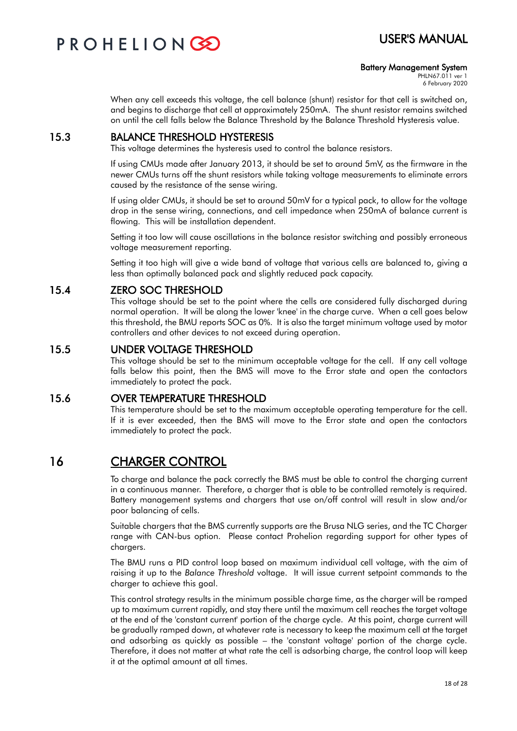

#### Battery Management System

PHLN67.011 ver 1 6 February 2020

When any cell exceeds this voltage, the cell balance (shunt) resistor for that cell is switched on, and begins to discharge that cell at approximately 250mA. The shunt resistor remains switched on until the cell falls below the Balance Threshold by the Balance Threshold Hysteresis value.

### 15.3 BALANCE THRESHOLD HYSTERESIS

This voltage determines the hysteresis used to control the balance resistors.

If using CMUs made after January 2013, it should be set to around 5mV, as the firmware in the newer CMUs turns off the shunt resistors while taking voltage measurements to eliminate errors caused by the resistance of the sense wiring.

If using older CMUs, it should be set to around 50mV for a typical pack, to allow for the voltage drop in the sense wiring, connections, and cell impedance when 250mA of balance current is flowing. This will be installation dependent.

Setting it too low will cause oscillations in the balance resistor switching and possibly erroneous voltage measurement reporting.

Setting it too high will give a wide band of voltage that various cells are balanced to, giving a less than optimally balanced pack and slightly reduced pack capacity.

### 15.4 ZERO SOC THRESHOLD

This voltage should be set to the point where the cells are considered fully discharged during normal operation. It will be along the lower 'knee' in the charge curve. When a cell goes below this threshold, the BMU reports SOC as 0%. It is also the target minimum voltage used by motor controllers and other devices to not exceed during operation.

### 15.5 UNDER VOLTAGE THRESHOLD

This voltage should be set to the minimum acceptable voltage for the cell. If any cell voltage falls below this point, then the BMS will move to the Error state and open the contactors immediately to protect the pack.

### 15.6 OVER TEMPERATURE THRESHOLD

This temperature should be set to the maximum acceptable operating temperature for the cell. If it is ever exceeded, then the BMS will move to the Error state and open the contactors immediately to protect the pack.

## 16 CHARGER CONTROL

To charge and balance the pack correctly the BMS must be able to control the charging current in a continuous manner. Therefore, a charger that is able to be controlled remotely is required. Battery management systems and chargers that use on/off control will result in slow and/or poor balancing of cells.

Suitable chargers that the BMS currently supports are the Brusa NLG series, and the TC Charger range with CAN-bus option. Please contact Prohelion regarding support for other types of chargers.

The BMU runs a PID control loop based on maximum individual cell voltage, with the aim of raising it up to the *Balance Threshold* voltage. It will issue current setpoint commands to the charger to achieve this goal.

This control strategy results in the minimum possible charge time, as the charger will be ramped up to maximum current rapidly, and stay there until the maximum cell reaches the target voltage at the end of the 'constant current' portion of the charge cycle. At this point, charge current will be gradually ramped down, at whatever rate is necessary to keep the maximum cell at the target and adsorbing as quickly as possible – the 'constant voltage' portion of the charge cycle. Therefore, it does not matter at what rate the cell is adsorbing charge, the control loop will keep it at the optimal amount at all times.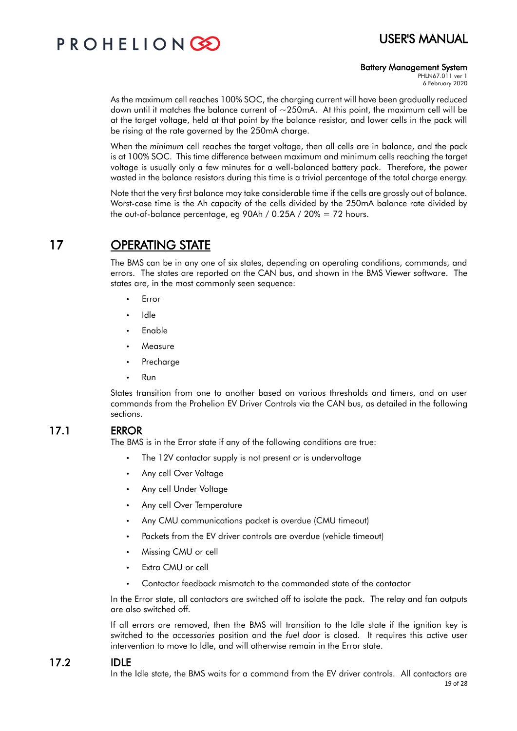

#### Battery Management System

PHLN67.011 ver 1 6 February 2020

As the maximum cell reaches 100% SOC, the charging current will have been gradually reduced down until it matches the balance current of  $\sim$ 250mA. At this point, the maximum cell will be at the target voltage, held at that point by the balance resistor, and lower cells in the pack will be rising at the rate governed by the 250mA charge.

When the *minimum* cell reaches the target voltage, then all cells are in balance, and the pack is at 100% SOC. This time difference between maximum and minimum cells reaching the target voltage is usually only a few minutes for a well-balanced battery pack. Therefore, the power wasted in the balance resistors during this time is a trivial percentage of the total charge energy.

Note that the very first balance may take considerable time if the cells are grossly out of balance. Worst-case time is the Ah capacity of the cells divided by the 250mA balance rate divided by the out-of-balance percentage, eg 90Ah / 0.25A / 20% = 72 hours.

## 17 OPERATING STATE

The BMS can be in any one of six states, depending on operating conditions, commands, and errors. The states are reported on the CAN bus, and shown in the BMS Viewer software. The states are, in the most commonly seen sequence:

- Error
- Idle
- Enable
- **Measure**
- Precharge
- Run

States transition from one to another based on various thresholds and timers, and on user commands from the Prohelion EV Driver Controls via the CAN bus, as detailed in the following sections.

### 17.1 ERROR

The BMS is in the Error state if any of the following conditions are true:

- The 12V contactor supply is not present or is undervoltage
- Any cell Over Voltage
- Any cell Under Voltage
- Any cell Over Temperature
- Any CMU communications packet is overdue (CMU timeout)
- Packets from the EV driver controls are overdue (vehicle timeout)
- Missing CMU or cell
- Extra CMU or cell
- Contactor feedback mismatch to the commanded state of the contactor

In the Error state, all contactors are switched off to isolate the pack. The relay and fan outputs are also switched off.

If all errors are removed, then the BMS will transition to the Idle state if the ignition key is switched to the *accessories* position and the *fuel door* is closed. It requires this active user intervention to move to Idle, and will otherwise remain in the Error state.

### 17.2 IDLE

In the Idle state, the BMS waits for a command from the EV driver controls. All contactors are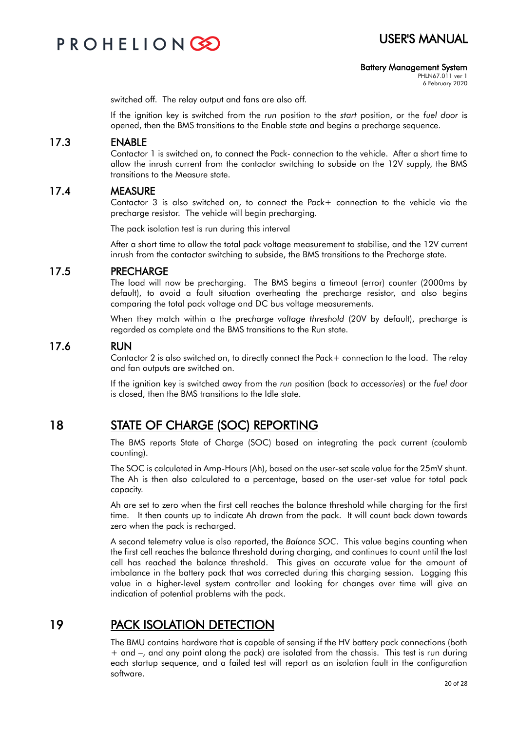

#### Battery Management System

PHLN67.011 ver 1 6 February 2020

switched off. The relay output and fans are also off.

If the ignition key is switched from the *run* position to the *start* position, or the *fuel door* is opened, then the BMS transitions to the Enable state and begins a precharge sequence.

### 17.3 ENABLE

Contactor 1 is switched on, to connect the Pack- connection to the vehicle. After a short time to allow the inrush current from the contactor switching to subside on the 12V supply, the BMS transitions to the Measure state.

#### 17.4 MEASURE

Contactor 3 is also switched on, to connect the Pack+ connection to the vehicle via the precharge resistor. The vehicle will begin precharging.

The pack isolation test is run during this interval

After a short time to allow the total pack voltage measurement to stabilise, and the 12V current inrush from the contactor switching to subside, the BMS transitions to the Precharge state.

#### 17.5 PRECHARGE

The load will now be precharging. The BMS begins a timeout (error) counter (2000ms by default), to avoid a fault situation overheating the precharge resistor, and also begins comparing the total pack voltage and DC bus voltage measurements.

When they match within a the *precharge voltage threshold* (20V by default), precharge is regarded as complete and the BMS transitions to the Run state.

#### 17.6 RUN

Contactor 2 is also switched on, to directly connect the Pack+ connection to the load. The relay and fan outputs are switched on.

If the ignition key is switched away from the *run* position (back to *accessories*) or the *fuel door* is closed, then the BMS transitions to the Idle state.

### 18 STATE OF CHARGE (SOC) REPORTING

The BMS reports State of Charge (SOC) based on integrating the pack current (coulomb counting).

The SOC is calculated in Amp-Hours (Ah), based on the user-set scale value for the 25mV shunt. The Ah is then also calculated to a percentage, based on the user-set value for total pack capacity.

Ah are set to zero when the first cell reaches the balance threshold while charging for the first time. It then counts up to indicate Ah drawn from the pack. It will count back down towards zero when the pack is recharged.

A second telemetry value is also reported, the *Balance SOC*. This value begins counting when the first cell reaches the balance threshold during charging, and continues to count until the last cell has reached the balance threshold. This gives an accurate value for the amount of imbalance in the battery pack that was corrected during this charging session. Logging this value in a higher-level system controller and looking for changes over time will give an indication of potential problems with the pack.

### 19 PACK ISOLATION DETECTION

The BMU contains hardware that is capable of sensing if the HV battery pack connections (both + and –, and any point along the pack) are isolated from the chassis. This test is run during each startup sequence, and a failed test will report as an isolation fault in the configuration software.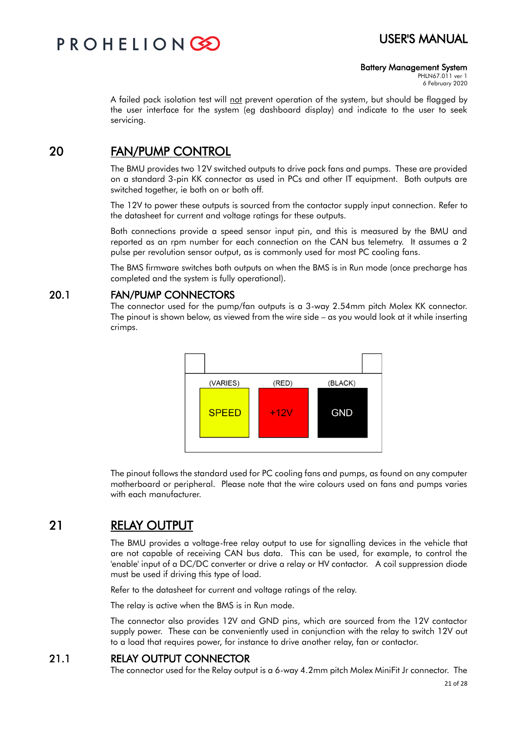

#### Battery Management System

PHLN67.011 ver 1 6 February 2020

A failed pack isolation test will not prevent operation of the system, but should be flagged by the user interface for the system (eg dashboard display) and indicate to the user to seek servicing.

### 20 FAN/PUMP CONTROL

The BMU provides two 12V switched outputs to drive pack fans and pumps. These are provided on a standard 3-pin KK connector as used in PCs and other IT equipment. Both outputs are switched together, ie both on or both off.

The 12V to power these outputs is sourced from the contactor supply input connection. Refer to the datasheet for current and voltage ratings for these outputs.

Both connections provide a speed sensor input pin, and this is measured by the BMU and reported as an rpm number for each connection on the CAN bus telemetry. It assumes a 2 pulse per revolution sensor output, as is commonly used for most PC cooling fans.

The BMS firmware switches both outputs on when the BMS is in Run mode (once precharge has completed and the system is fully operational).

### 20.1 FAN/PUMP CONNECTORS

The connector used for the pump/fan outputs is a 3-way 2.54mm pitch Molex KK connector. The pinout is shown below, as viewed from the wire side – as you would look at it while inserting crimps.



The pinout follows the standard used for PC cooling fans and pumps, as found on any computer motherboard or peripheral. Please note that the wire colours used on fans and pumps varies with each manufacturer.

## 21 RELAY OUTPUT

The BMU provides a voltage-free relay output to use for signalling devices in the vehicle that are not capable of receiving CAN bus data. This can be used, for example, to control the 'enable' input of a DC/DC converter or drive a relay or HV contactor. A coil suppression diode must be used if driving this type of load.

Refer to the datasheet for current and voltage ratings of the relay.

The relay is active when the BMS is in Run mode.

The connector also provides 12V and GND pins, which are sourced from the 12V contactor supply power. These can be conveniently used in conjunction with the relay to switch 12V out to a load that requires power, for instance to drive another relay, fan or contactor.

### 21.1 RELAY OUTPUT CONNECTOR

The connector used for the Relay output is a 6-way 4.2mm pitch Molex MiniFit Jr connector. The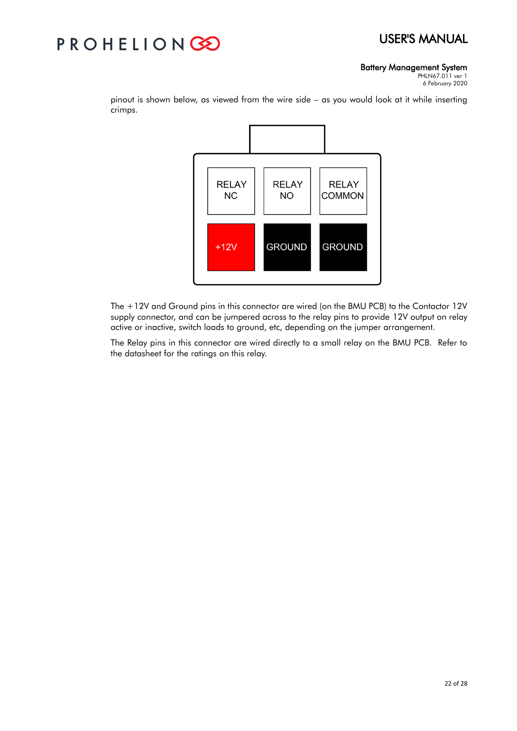## PROHELIONGE

#### Battery Management System

PHLN67.011 ver 1 6 February 2020



pinout is shown below, as viewed from the wire side – as you would look at it while inserting crimps.

The +12V and Ground pins in this connector are wired (on the BMU PCB) to the Contactor 12V supply connector, and can be jumpered across to the relay pins to provide 12V output on relay active or inactive, switch loads to ground, etc, depending on the jumper arrangement.

The Relay pins in this connector are wired directly to a small relay on the BMU PCB. Refer to the datasheet for the ratings on this relay.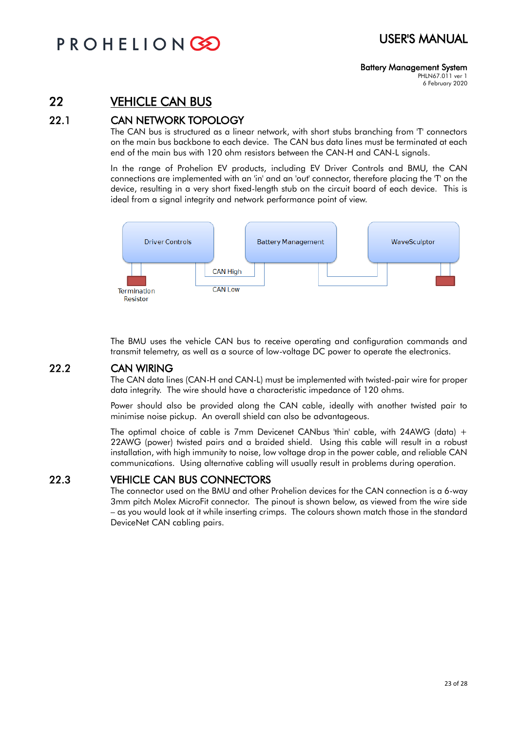#### Battery Management System PHLN67.011 ver 1

6 February 2020

## 22 VEHICLE CAN BUS

### 22.1 CAN NETWORK TOPOLOGY

The CAN bus is structured as a linear network, with short stubs branching from 'T' connectors on the main bus backbone to each device. The CAN bus data lines must be terminated at each end of the main bus with 120 ohm resistors between the CAN-H and CAN-L signals.

In the range of Prohelion EV products, including EV Driver Controls and BMU, the CAN connections are implemented with an 'in' and an 'out' connector, therefore placing the 'T' on the device, resulting in a very short fixed-length stub on the circuit board of each device. This is ideal from a signal integrity and network performance point of view.



The BMU uses the vehicle CAN bus to receive operating and configuration commands and transmit telemetry, as well as a source of low-voltage DC power to operate the electronics.

### 22.2 CAN WIRING

The CAN data lines (CAN-H and CAN-L) must be implemented with twisted-pair wire for proper data integrity. The wire should have a characteristic impedance of 120 ohms.

Power should also be provided along the CAN cable, ideally with another twisted pair to minimise noise pickup. An overall shield can also be advantageous.

The optimal choice of cable is 7mm Devicenet CANbus 'thin' cable, with 24AWG (data) + 22AWG (power) twisted pairs and a braided shield. Using this cable will result in a robust installation, with high immunity to noise, low voltage drop in the power cable, and reliable CAN communications. Using alternative cabling will usually result in problems during operation.

### 22.3 VEHICLE CAN BUS CONNECTORS

The connector used on the BMU and other Prohelion devices for the CAN connection is a 6-way 3mm pitch Molex MicroFit connector. The pinout is shown below, as viewed from the wire side – as you would look at it while inserting crimps. The colours shown match those in the standard DeviceNet CAN cabling pairs.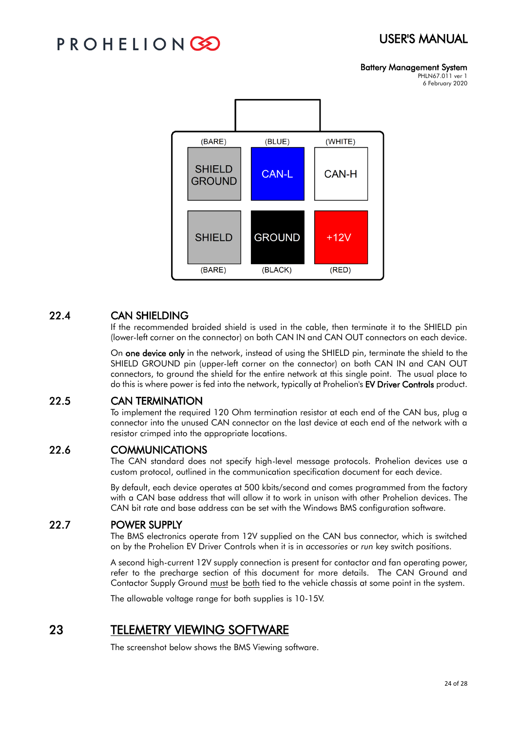## PROHELIONG

### Battery Management System

PHLN67.011 ver 1 6 February 2020



### 22.4 CAN SHIELDING

If the recommended braided shield is used in the cable, then terminate it to the SHIELD pin (lower-left corner on the connector) on both CAN IN and CAN OUT connectors on each device.

On one device only in the network, instead of using the SHIELD pin, terminate the shield to the SHIELD GROUND pin (upper-left corner on the connector) on both CAN IN and CAN OUT connectors, to ground the shield for the entire network at this single point. The usual place to do this is where power is fed into the network, typically at Prohelion's EV Driver Controls product.

### 22.5 CAN TERMINATION

To implement the required 120 Ohm termination resistor at each end of the CAN bus, plug a connector into the unused CAN connector on the last device at each end of the network with a resistor crimped into the appropriate locations.

### 22.6 COMMUNICATIONS

The CAN standard does not specify high-level message protocols. Prohelion devices use a custom protocol, outlined in the communication specification document for each device.

By default, each device operates at 500 kbits/second and comes programmed from the factory with a CAN base address that will allow it to work in unison with other Prohelion devices. The CAN bit rate and base address can be set with the Windows BMS configuration software.

### 22.7 POWER SUPPLY

The BMS electronics operate from 12V supplied on the CAN bus connector, which is switched on by the Prohelion EV Driver Controls when it is in *accessories* or *run* key switch positions.

A second high-current 12V supply connection is present for contactor and fan operating power, refer to the precharge section of this document for more details. The CAN Ground and Contactor Supply Ground must be both tied to the vehicle chassis at some point in the system.

The allowable voltage range for both supplies is 10-15V.

## 23 TELEMETRY VIEWING SOFTWARE

The screenshot below shows the BMS Viewing software.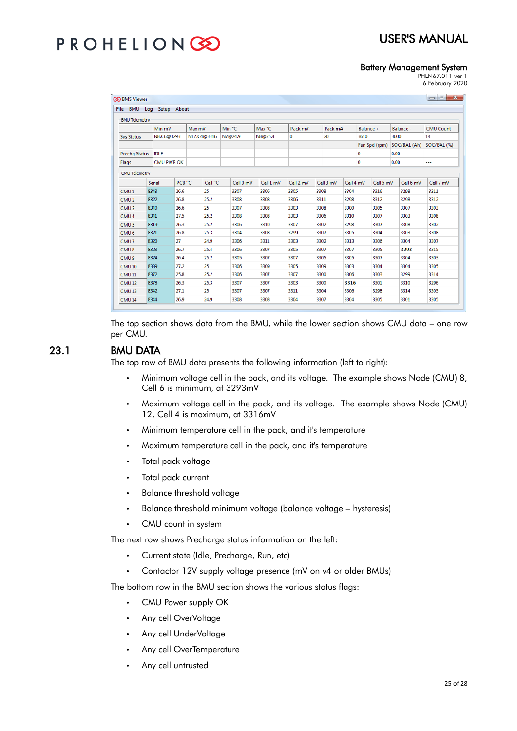## PROHELIONC

## USER'S MANUAL

#### Battery Management System

PHLN67.011 ver 1 6 February 2020

|                      | File BMU Log<br>Setup | About             |             |           |           |           |           |           |               |              |                  |
|----------------------|-----------------------|-------------------|-------------|-----------|-----------|-----------|-----------|-----------|---------------|--------------|------------------|
| <b>BMU Telemetry</b> | Min mV                |                   | Max mV      | Min °C    | Max °C    | Pack mV   | Pack mA   |           | Balance +     | Balance -    | <b>CMU Count</b> |
| <b>Sys Status</b>    | N8:C6@3293            |                   | N12:C4@3316 | N7@24.9   | N8@25.4   | 0         | 20        | 3610      |               | 3600         | 14               |
|                      |                       |                   |             |           |           |           |           |           | Fan Spd (rpm) | SOC/BAL (Ah) | SOC/BAL (%)      |
| <b>Prechq Status</b> | <b>IDLE</b>           |                   |             |           |           |           |           | 0         |               | 0.00         |                  |
| Flags                |                       | <b>CMU PWR OK</b> |             |           |           |           |           | 0         |               | 0.00         |                  |
|                      |                       |                   |             |           |           |           |           |           |               |              |                  |
| <b>CMU Telemetry</b> |                       |                   |             |           |           |           |           |           |               |              |                  |
|                      | <b>Serial</b>         | PCB °C            | Cell °C     | Cell 0 mV | Cell 1 mV | Cell 2 mV | Cell 3 mV | Cell 4 mV | Cell 5 mV     | Cell 6 mV    | Cell 7 mV        |
| CMU <sub>1</sub>     | 8343                  | 26.6              | 25          | 3307      | 3306      | 3305      | 3308      | 3304      | 3316          | 3298         | 3311             |
| CMU <sub>2</sub>     | 8322                  | 26.8              | 25.2        | 3308      | 3308      | 3306      | 3311      | 3298      | 3312          | 3298         | 3312             |
| CMU <sub>3</sub>     | 8340                  | 26.6              | 25          | 3307      | 3308      | 3303      | 3308      | 3300      | 3305          | 3307         | 3303             |
| CMU <sub>4</sub>     | 8341                  | 27.5              | 25.2        | 3308      | 3308      | 3303      | 3306      | 3310      | 3307          | 3303         | 3308             |
| CMU <sub>5</sub>     | 8319                  | 26.3              | 25.2        | 3306      | 3310      | 3307      | 3302      | 3298      | 3307          | 3308         | 3302             |
| CMU <sub>6</sub>     | 8321                  | 26.8              | 25.3        | 3304      | 3308      | 3299      | 3307      | 3305      | 3304          | 3303         | 3308             |
| CMU <sub>7</sub>     | 8320                  | 27                | 24.9        | 3306      | 3311      | 3303      | 3302      | 3313      | 3306          | 3304         | 3307             |
| CMU <sub>8</sub>     | 8323                  | 26.7              | 25.4        | 3306      | 3307      | 3305      | 3307      | 3307      | 3305          | 3293         | 3315             |
| CMU <sub>9</sub>     | 8324                  | 26.4              | 25.2        | 3305      | 3307      | 3307      | 3305      | 3305      | 3307          | 3304         | 3303             |
| CMU <sub>10</sub>    | 8339                  | 27.2              | 25          | 3306      | 3309      | 3305      | 3309      | 3303      | 3304          | 3304         | 3305             |
| CMU <sub>11</sub>    | 8372                  | 25.8              | 25.2        | 3306      | 3307      | 3307      | 3300      | 3306      | 3303          | 3299         | 3314             |
| CMU <sub>12</sub>    | 8378                  | 26.3              | 25.3        | 3307      | 3307      | 3303      | 3300      | 3316      | 3301          | 3310         | 3296             |
| CMU <sub>13</sub>    | 8342                  | 27.1              | 25          | 3307      | 3307      | 3311      | 3304      | 3306      | 3298          | 3314         | 3305             |
| CMU <sub>14</sub>    | 8344                  | 26.9              | 24.9        | 3308      | 3308      | 3304      | 3307      | 3304      | 3305          | 3301         | 3305             |

The top section shows data from the BMU, while the lower section shows CMU data – one row per CMU.

### 23.1 BMU DATA

The top row of BMU data presents the following information (left to right):

- Minimum voltage cell in the pack, and its voltage. The example shows Node (CMU) 8, Cell 6 is minimum, at 3293mV
- Maximum voltage cell in the pack, and its voltage. The example shows Node (CMU) 12, Cell 4 is maximum, at 3316mV
- Minimum temperature cell in the pack, and it's temperature
- Maximum temperature cell in the pack, and it's temperature
- Total pack voltage
- Total pack current
- Balance threshold voltage
- Balance threshold minimum voltage (balance voltage hysteresis)
- CMU count in system

The next row shows Precharge status information on the left:

- Current state (Idle, Precharge, Run, etc)
- Contactor 12V supply voltage presence (mV on v4 or older BMUs)

The bottom row in the BMU section shows the various status flags:

- CMU Power supply OK
- Any cell OverVoltage
- Any cell UnderVoltage
- Any cell OverTemperature
- Any cell untrusted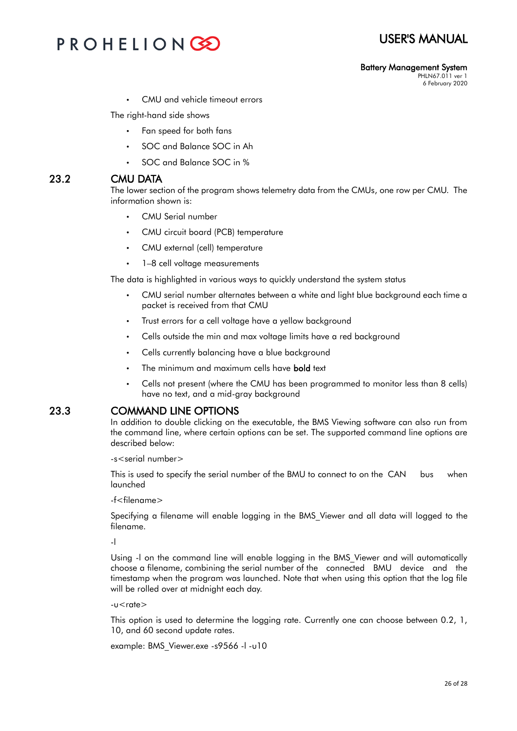## PROHELIONG

#### Battery Management System PHLN67.011 ver 1

6 February 2020

CMU and vehicle timeout errors

The right-hand side shows

- Fan speed for both fans
- SOC and Balance SOC in Ah
- SOC and Balance SOC in %

### 23.2 CMU DATA

The lower section of the program shows telemetry data from the CMUs, one row per CMU. The information shown is:

- CMU Serial number
- CMU circuit board (PCB) temperature
- CMU external (cell) temperature
- 1-8 cell voltage measurements

The data is highlighted in various ways to quickly understand the system status

- CMU serial number alternates between a white and light blue background each time a packet is received from that CMU
- Trust errors for a cell voltage have a yellow background
- Cells outside the min and max voltage limits have a red background
- Cells currently balancing have a blue background
- The minimum and maximum cells have **bold** text
- Cells not present (where the CMU has been programmed to monitor less than 8 cells) have no text, and a mid-gray background

### 23.3 COMMAND LINE OPTIONS

In addition to double clicking on the executable, the BMS Viewing software can also run from the command line, where certain options can be set. The supported command line options are described below:

-s<serial number>

This is used to specify the serial number of the BMU to connect to on the CAN bus when launched

-f<filename>

Specifying a filename will enable logging in the BMS\_Viewer and all data will logged to the filename.

-l

Using -l on the command line will enable logging in the BMS\_Viewer and will automatically choose a filename, combining the serial number of the connected BMU device and the timestamp when the program was launched. Note that when using this option that the log file will be rolled over at midnight each day.

 $-u$ <rate $>$ 

This option is used to determine the logging rate. Currently one can choose between 0.2, 1, 10, and 60 second update rates.

example: BMS\_Viewer.exe -s9566 -l -u10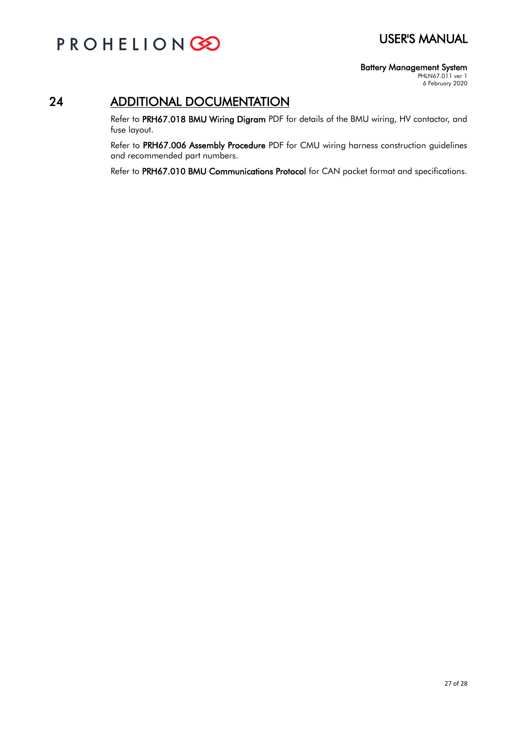

### Battery Management System

PHLN67.011 ver 1 6 February 2020

## 24 ADDITIONAL DOCUMENTATION

Refer to PRH67.018 BMU Wiring Digram PDF for details of the BMU wiring, HV contactor, and fuse layout.

Refer to PRH67.006 Assembly Procedure PDF for CMU wiring harness construction guidelines and recommended part numbers.

Refer to PRH67.010 BMU Communications Protocol for CAN packet format and specifications.